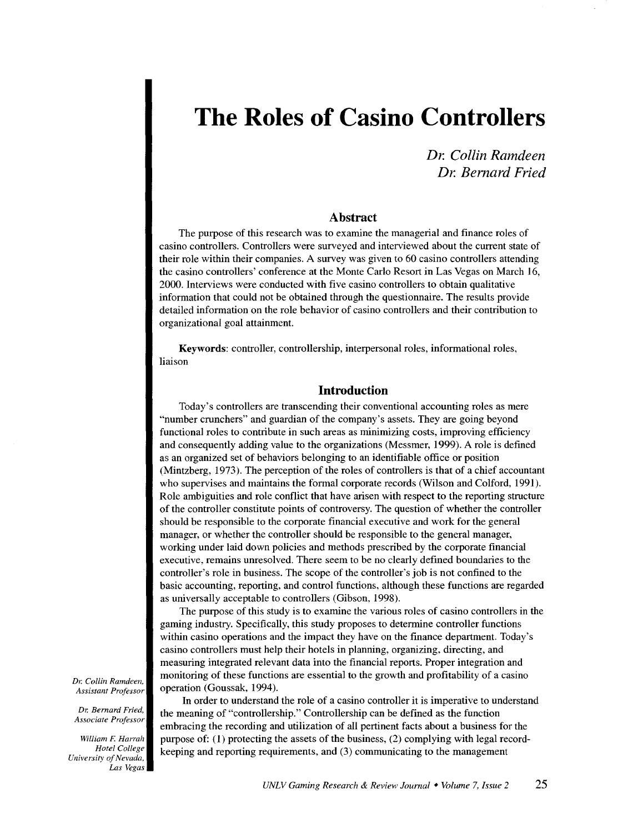*Dr. Collin Ramdeen Dr. Bernard Fried* 

#### **Abstract**

The purpose of this research was to examine the managerial and finance roles of casino controllers. Controllers were surveyed and interviewed about the current state of their role within their companies. A survey was given to 60 casino controllers attending the casino controllers' conference at the Monte Carlo Resort in Las Vegas on March 16, 2000. Interviews were conducted with five casino controllers to obtain qualitative information that could not be obtained through the questionnaire. The results provide detailed information on the role behavior of casino controllers and their contribution to organizational goal attainment.

Keywords: controller, controllership, interpersonal roles, informational roles, liaison

# **Introduction**

Today's controllers are transcending their conventional accounting roles as mere "number crunchers" and guardian of the company's assets. They are going beyond functional roles to contribute in such areas as minimizing costs, improving efficiency and consequently adding value to the organizations (Messmer, 1999). A role is defined as an organized set of behaviors belonging to an identifiable office or position (Mintzberg, 1973). The perception of the roles of controllers is that of a chief accountant who supervises and maintains the formal corporate records (Wilson and Colford, 1991). Role ambiguities and role conflict that have arisen with respect to the reporting structure of the controller constitute points of controversy. The question of whether the controller should be responsible to the corporate financial executive and work for the general manager, or whether the controller should be responsible to the general manager, working under laid down policies and methods prescribed by the corporate financial executive, remains unresolved. There seem to be no clearly defined boundaries to the controller's role in business. The scope of the controller's job is not confined to the basic accounting, reporting, and control functions, although these functions are regarded as universally acceptable to controllers (Gibson, 1998).

The purpose of this study is to examine the various roles of casino controllers in the gaming industry. Specifically, this study proposes to determine controller functions within casino operations and the impact they have on the finance department. Today's casino controllers must help their hotels in planning, organizing, directing, and measuring integrated relevant data into the financial reports. Proper integration and monitoring of these functions are essential to the growth and profitability of a casino operation (Goussak, 1994).

In order to understand the role of a casino controller it is imperative to understand the meaning of "controllership." Controllership can be defined as the function embracing the recording and utilization of all pertinent facts about a business for the purpose of: ( 1) protecting the assets of the business, (2) complying with legal recordkeeping and reporting requirements, and (3) communicating to the management

*Dr. Collin Ramdeen, Assistant Professor* 

*Dr. Bernard Fried, Associate Professor* 

*William F. Harrah Hotel College University of Nevada, Las Vegas*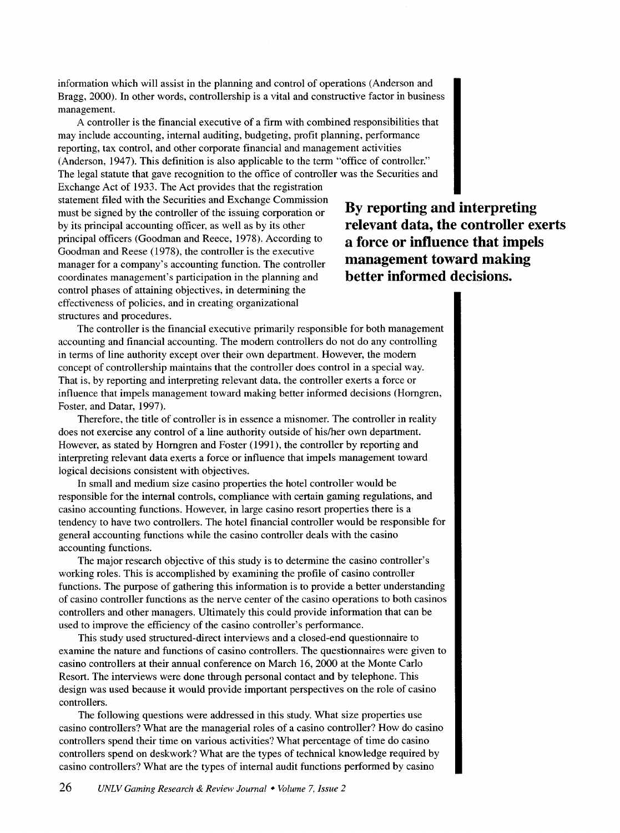information which will assist in the planning and control of operations (Anderson and Bragg, 2000). In other words, controllership is a vital and constructive factor in business management.

A controller is the financial executive of a firm with combined responsibilities that may include accounting, internal auditing, budgeting, profit planning, performance reporting, tax control, and other corporate financial and management activities (Anderson, 1947). This definition is also applicable to the term "office of controller." The legal statute that gave recognition to the office of controller was the Securities and

Exchange Act of 1933. The Act provides that the registration statement filed with the Securities and Exchange Commission must be signed by the controller of the issuing corporation or by its principal accounting officer, as well as by its other principal officers (Goodman and Reece, 1978). According to Goodman and Reese (1978), the controller is the executive manager for a company's accounting function. The controller coordinates management's participation in the planning and control phases of attaining objectives, in determining the effectiveness of policies, and in creating organizational structures and procedures.

**By reporting and interpreting relevant data, the controller exerts a force or influence that impels management toward making better informed decisions.** 

The controller is the financial executive primarily responsible for both management accounting and financial accounting. The modem controllers do not do any controlling in terms of line authority except over their own department. However, the modem concept of controllership maintains that the controller does control in a special way. That is, by reporting and interpreting relevant data, the controller exerts a force or influence that impels management toward making better informed decisions (Homgren, Foster, and Datar, 1997).

Therefore, the title of controller is in essence a misnomer. The controller in reality does not exercise any control of a line authority outside of his/her own department. However, as stated by Homgren and Foster (1991), the controller by reporting and interpreting relevant data exerts a force or influence that impels management toward logical decisions consistent with objectives.

In small and medium size casino properties the hotel controller would be responsible for the internal controls, compliance with certain gaming regulations, and casino accounting functions. However, in large casino resort properties there is a tendency to have two controllers. The hotel financial controller would be responsible for general accounting functions while the casino controller deals with the casino accounting functions.

The major research objective of this study is to determine the casino controller's working roles. This is accomplished by examining the profile of casino controller functions. The purpose of gathering this information is to provide a better understanding of casino controller functions as the nerve center of the casino operations to both casinos controllers and other managers. Ultimately this could provide information that can be used to improve the efficiency of the casino controller's performance.

This study used structured-direct interviews and a closed-end questionnaire to examine the nature and functions of casino controllers. The questionnaires were given to casino controllers at their annual conference on March 16, 2000 at the Monte Carlo Resort. The interviews were done through personal contact and by telephone. This design was used because it would provide important perspectives on the role of casino controllers.

The following questions were addressed in this study. What size properties use casino controllers? What are the managerial roles of a casino controller? How do casino controllers spend their time on various activities? What percentage of time do casino controllers spend on deskwork? What are the types of technical knowledge required by casino controllers? What are the types of internal audit functions performed by casino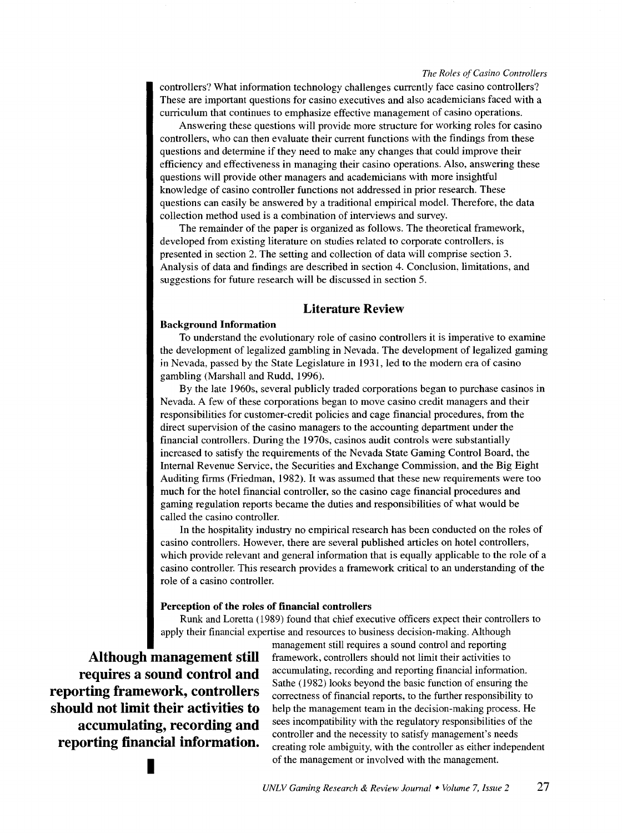controllers? What information technology challenges currently face casino controllers? These are important questions for casino executives and also academicians faced with a curriculum that continues to emphasize effective management of casino operations.

Answering these questions will provide more structure for working roles for casino controllers, who can then evaluate their current functions with the findings from these questions and determine if they need to make any changes that could improve their efficiency and effectiveness in managing their casino operations. Also, answering these questions will provide other managers and academicians with more insightful knowledge of casino controller functions not addressed in prior research. These questions can easily be answered by a traditional empirical model. Therefore, the data collection method used is a combination of interviews and survey.

The remainder of the paper is organized as follows. The theoretical framework, developed from existing literature on studies related to corporate controllers, is presented in section 2. The setting and collection of data will comprise section 3. Analysis of data and findings are described in section 4. Conclusion, limitations, and suggestions for future research will be discussed in section 5.

# **Literature Review**

#### **Background Information**

To understand the evolutionary role of casino controllers it is imperative to examine the development of legalized gambling in Nevada. The development of legalized gaming in Nevada, passed by the State Legislature in 1931, led to the modem era of casino gambling (Marshall and Rudd, 1996).

By the late 1960s, several publicly traded corporations began to purchase casinos in Nevada. A few of these corporations began to move casino credit managers and their responsibilities for customer-credit policies and cage financial procedures, from the direct supervision of the casino managers to the accounting department under the financial controllers. During the 1970s, casinos audit controls were substantially increased to satisfy the requirements of the Nevada State Gaming Control Board, the Internal Revenue Service, the Securities and Exchange Commission, and the Big Eight Auditing firms (Friedman, 1982). It was assumed that these new requirements were too much for the hotel financial controller, so the casino cage financial procedures and gaming regulation reports became the duties and responsibilities of what would be called the casino controller.

In the hospitality industry no empirical research has been conducted on the roles of casino controllers. However, there are several published articles on hotel controllers, which provide relevant and general information that is equally applicable to the role of a casino controller. This research provides a framework critical to an understanding of the role of a casino controller.

### **Perception of the roles of financial controllers**

Runk and Loretta (1989) found that chief executive officers expect their controllers to apply their financial expertise and resources to business decision-making. Although

**Although management still requires a sound control and reporting framework, controllers should not limit their activities to accumulating, recording and reporting financial information.** 

management still requires a sound control and reporting framework, controllers should not limit their activities to accumulating, recording and reporting financial information. Sathe (1982) looks beyond the basic function of ensuring the correctness of financial reports, to the further responsibility to help the management team in the decision-making process. He sees incompatibility with the regulatory responsibilities of the controller and the necessity to satisfy management's needs creating role ambiguity, with the controller as either independent of the management or involved with the management.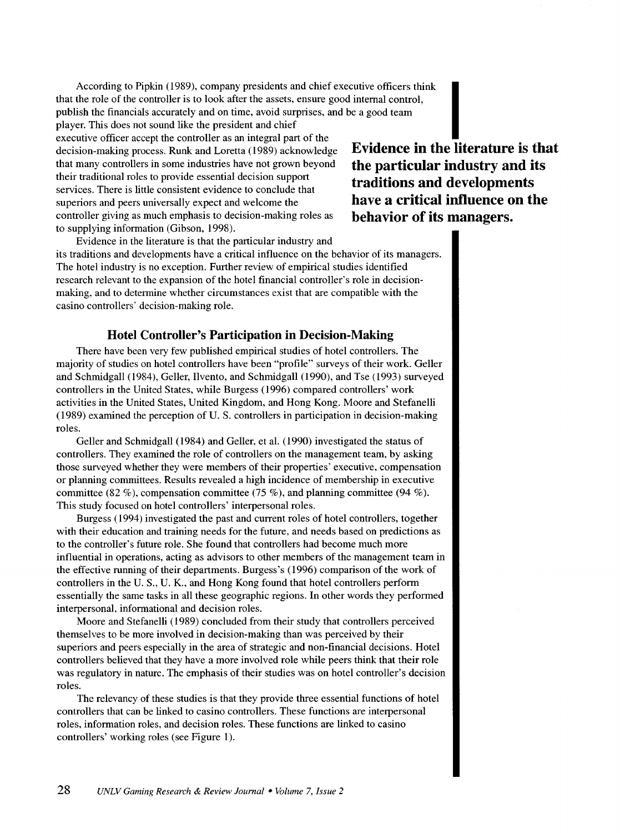According to Pipkin (1989), company presidents and chief executive officers think that the role of the controller is to look after the assets, ensure good internal control, publish the financials accurately and on time, avoid surprises, and be a good team player. This does not sound like the president and chief According to Pipkin (1989), company presidents and chief executive officers think<br>that the role of the controller is to look after the assets, ensure good internal control,<br>publish the financials accurately and on time, av decision-making process. Runk and Loretta (1989) acknowledge that many controllers in some industries have not grown beyond their traditional roles to provide essential decision support services. There is little consistent evidence to conclude that superiors and peers universally expect and welcome the controller giving as much emphasis to decision-making roles as to supplying information (Gibson, 1998).

**Evidence in the literature is that the particular industry and its traditions and developments have a critical influence on the behavior of its managers.** 

Evidence in the literature is that the particular industry and its traditions and developments have a critical influence on the behavior of its managers. The hotel industry is no exception. Further review of empirical studies identified research relevant to the expansion of the hotel financial controller's role in decisionmaking, and to determine whether circumstances exist that are compatible with the casino controllers· decision-making role.

# **Hotel Controller's Participation in Decision-Making**

There have been very few published empirical studies of hotel controllers. The majority of studies on hotel controllers have been "profile" surveys of their work. Geller and Schmidgall (1984), Geller, Ilvento, and Schmidgall (1990), and Tse (1993) surveyed controllers in the United States, while Burgess (1996) compared controllers' work activities in the United States, United Kingdom, and Hong Kong. Moore and Stefanelli (1989) examined the perception of U.S. controllers in participation in decision-making roles.

Geller and Schmidgall ( 1984) and Geller, et al. ( 1990) investigated the status of controllers. They examined the role of controllers on the management team, by asking those surveyed whether they were members of their properties' executive, compensation or planning committees. Results revealed a high incidence of membership in executive committee (82 %), compensation committee (75 %), and planning committee (94 %). This study focused on hotel controllers' interpersonal roles.

Burgess ( 1994) investigated the past and current roles of hotel controllers, together with their education and training needs for the future, and needs based on predictions as to the controller's future role. She found that controllers had become much more influential in operations, acting as advisors to other members of the management team in the effective running of their departments. Burgess's (1996) comparison of the work of controllers in the U.S., U.K., and Hong Kong found that hotel controllers perform essentially the same tasks in all these geographic regions. In other words they performed interpersonal, informational and decision roles.

Moore and Stefanelli ( 1989) concluded from their study that controllers perceived themselves to be more involved in decision-making than was perceived by their superiors and peers especially in the area of strategic and non-financial decisions. Hotel controllers believed that they have a more involved role while peers think that their role was regulatory in nature. The emphasis of their studies was on hotel controller's decision roles.

The relevancy of these studies is that they provide three essential functions of hotel controllers that can be linked to casino controllers. These functions are interpersonal roles, information roles, and decision roles. These functions are linked to casino controllers' working roles (see Figure 1).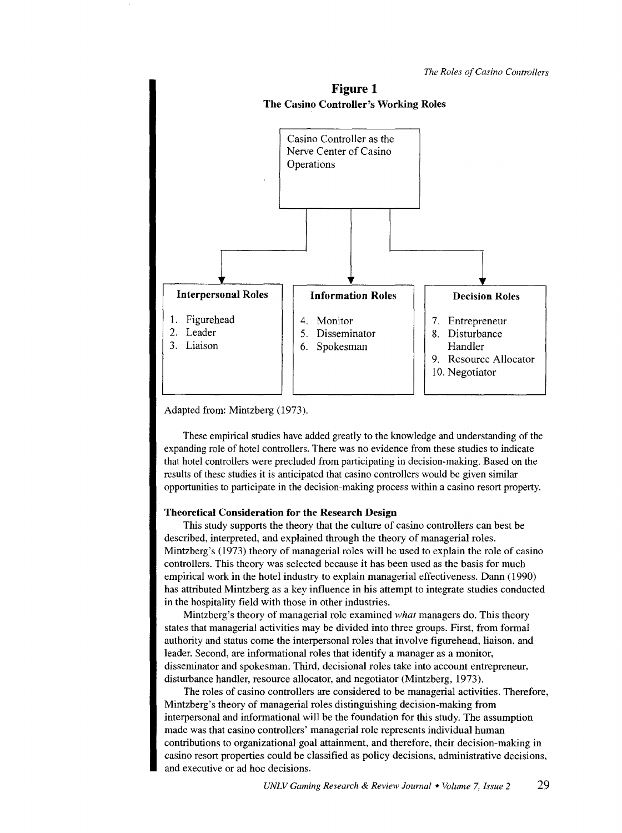

Adapted from: Mintzberg (1973).

These empirical studies have added greatly to the knowledge and understanding of the expanding role of hotel controllers. There was no evidence from these studies to indicate that hotel controllers were precluded from participating in decision-making. Based on the results of these studies it is anticipated that casino controllers would be given similar opportunities to participate in the decision-making process within a casino resort property.

#### **Theoretical Consideration for the Research Design**

This study supports the theory that the culture of casino controllers can best be described, interpreted, and explained through the theory of managerial roles. Mintzberg's (1973) theory of managerial roles will be used to explain the role of casino controllers. This theory was selected because it has been used as the basis for much empirical work in the hotel industry to explain managerial effectiveness. Dann (1990) has attributed Mintzberg as a key influence in his attempt to integrate studies conducted in the hospitality field with those in other industries.

Mintzberg's theory of managerial role examined *what* managers do. This theory states that managerial activities may be divided into three groups. First, from formal authority and status come the interpersonal roles that involve figurehead, liaison, and leader. Second, are informational roles that identify a manager as a monitor, disseminator and spokesman. Third, decisional roles take into account entrepreneur, disturbance handler, resource allocator, and negotiator (Mintzberg, 1973).

The roles of casino controllers are considered to be managerial activities. Therefore, Mintzberg's theory of managerial roles distinguishing decision-making from interpersonal and informational will be the foundation for this study. The assumption made was that casino controllers' managerial role represents individual human contributions to organizational goal attainment, and therefore, their decision-making in casino resort properties could be classified as policy decisions, administrative decisions, and executive or ad hoc decisions.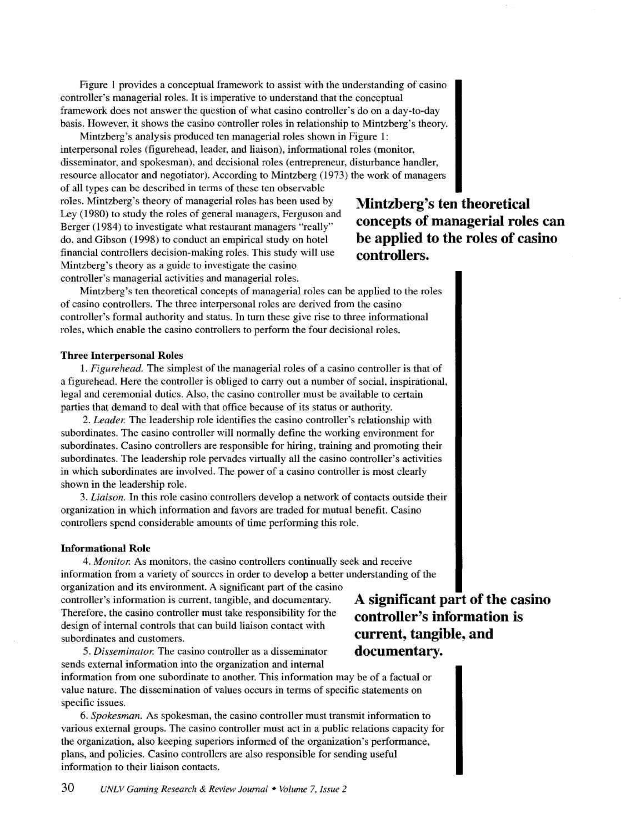Figure 1 provides a conceptual framework to assist with the understanding of casino controller's managerial roles. It is imperative to understand that the conceptual framework does not answer the question of what casino controller's do on a day-to-day basis. However, it shows the casino controller roles in relationship to Mintzberg's theory.

Mintzberg's analysis produced ten managerial roles shown in Figure 1: interpersonal roles (figurehead, leader, and liaison), informational roles (monitor, disseminator, and spokesman), and decisional roles (entrepreneur, disturbance handler, resource allocator and negotiator). According to Mintzberg ( 1973) the work of managers

of all types can be described in terms of these ten observable roles. Mintzberg's theory of managerial roles has been used by Ley (1980) to study the roles of general managers, Ferguson and Berger (1984) to investigate what restaurant managers "really" do, and Gibson (1998) to conduct an empirical study on hotel financial controllers decision-making roles. This study will use Mintzberg's theory as a guide to investigate the casino controller's managerial activities and managerial roles.

# **Mintzberg's ten theoretical concepts of managerial roles can be applied to the roles of casino controllers.**

Mintzberg's ten theoretical concepts of managerial roles can be applied to the roles of casino controllers. The three interpersonal roles are derived from the casino controller's formal authority and status. In tum these give rise to three informational roles, which enable the casino controllers to perform the four decisional roles.

## **Three Interpersonal Roles**

1. *Figurehead.* The simplest of the managerial roles of a casino controller is that of a figurehead. Here the controller is obliged to carry out a number of social, inspirational, legal and ceremonial duties. Also, the casino controller must be available to certain parties that demand to deal with that office because of its status or authority.

2. *Leader.* The leadership role identifies the casino controller's relationship with subordinates. The casino controller will normally define the working environment for subordinates. Casino controllers are responsible for hiring, training and promoting their subordinates. The leadership role pervades virtually all the casino controller's activities in which subordinates are involved. The power of a casino controller is most clearly shown in the leadership role.

3. *Liaison.* In this role casino controllers develop a network of contacts outside their organization in which information and favors are traded for mutual benefit. Casino controllers spend considerable amounts of time performing this role.

## **Informational Role**

4. *Monitor.* As monitors, the casino controllers continually seek and receive information from a variety of sources in order to develop a better understanding of the

organization and its environment. A significant part of the casino controller's information is current, tangible, and documentary. Therefore, the casino controller must take responsibility for the design of internal controls that can build liaison contact with subordinates and customers.

**A significant part of the casino controller's information is current, tangible, and documentary.** 

5. *Disseminator.* The casino controller as a disseminator sends external information into the organization and internal

information from one subordinate to another. This information may be of a factual or value nature. The dissemination of values occurs in terms of specific statements on specific issues.

6. *Spokesman.* As spokesman, the casino controller must transmit information to various external groups. The casino controller must act in a public relations capacity for the organization, also keeping superiors informed of the organization's performance, plans, and policies. Casino controllers are also responsible for sending useful information to their liaison contacts.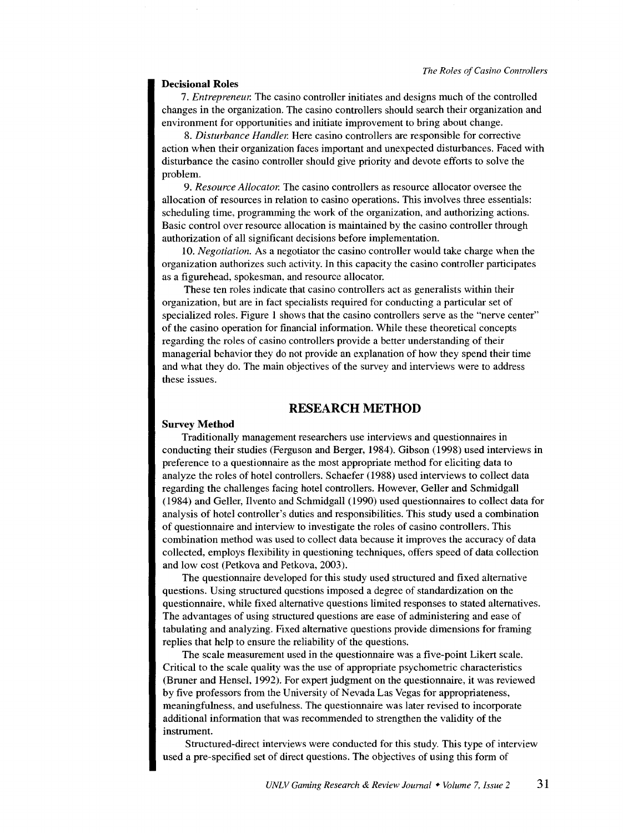#### **Decisional Roles**

7. *Entrepreneur.* The casino controller initiates and designs much of the controlled changes in the organization. The casino controllers should search their organization and environment for opportunities and initiate improvement to bring about change.

8. *Disturbance Handler.* Here casino controllers are responsible for corrective action when their organization faces important and unexpected disturbances. Faced with disturbance the casino controller should give priority and devote efforts to solve the problem.

9. *Resource Allocator.* The casino controllers as resource allocator oversee the allocation of resources in relation to casino operations. This involves three essentials: scheduling time, programming the work of the organization, and authorizing actions. Basic control over resource allocation is maintained by the casino controller through authorization of all significant decisions before implementation.

10. *Negotiation.* As a negotiator the casino controller would take charge when the organization authorizes such activity. In this capacity the casino controller participates as a figurehead, spokesman, and resource allocator.

These ten roles indicate that casino controllers act as generalists within their organization, but are in fact specialists required for conducting a particular set of specialized roles. Figure 1 shows that the casino controllers serve as the "nerve center" of the casino operation for financial information. While these theoretical concepts regarding the roles of casino controllers provide a better understanding of their managerial behavior they do not provide an explanation of how they spend their time and what they do. The main objectives of the survey and interviews were to address these issues.

## **RESEARCH METHOD**

#### **Survey Method**

Traditionally management researchers use interviews and questionnaires in conducting their studies (Ferguson and Berger, 1984). Gibson (1998) used interviews in preference to a questionnaire as the most appropriate method for eliciting data to analyze the roles of hotel controllers. Schaefer (1988) used interviews to collect data regarding the challenges facing hotel controllers. However, Geller and Schmidgall (1984) and Geller, Ilvento and Schmidgall (1990) used questionnaires to collect data for analysis of hotel controller's duties and responsibilities. This study used a combination of questionnaire and interview to investigate the roles of casino controllers. This combination method was used to collect data because it improves the accuracy of data collected, employs flexibility in questioning techniques, offers speed of data collection and low cost (Petkova and Petkova, 2003).

The questionnaire developed for this study used structured and fixed alternative questions. Using structured questions imposed a degree of standardization on the questionnaire, while fixed alternative questions limited responses to stated alternatives. The advantages of using structured questions are ease of administering and ease of tabulating and analyzing. Fixed alternative questions provide dimensions for framing replies that help to ensure the reliability of the questions.

The scale measurement used in the questionnaire was a five-point Likert scale. Critical to the scale quality was the use of appropriate psychometric characteristics (Bruner and Hensel, 1992). For expert judgment on the questionnaire, it was reviewed by five professors from the University of Nevada Las Vegas for appropriateness, meaningfulness, and usefulness. The questionnaire was later revised to incorporate additional information that was recommended to strengthen the validity of the instrument.

Structured-direct interviews were conducted for this study. This type of interview used a pre-specified set of direct questions. The objectives of using this form of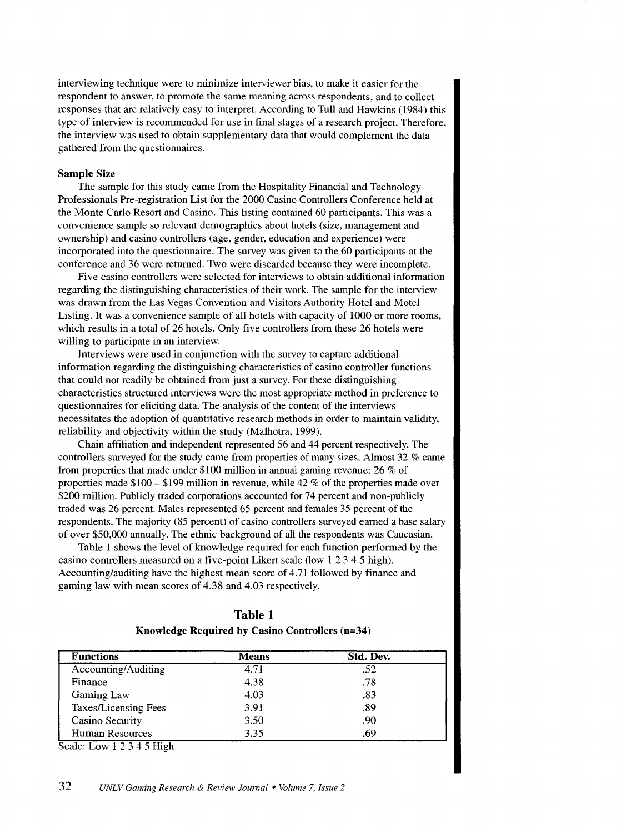interviewing technique were to minimize interviewer bias, to make it easier for the respondent to answer, to promote the same meaning across respondents, and to collect responses that are relatively easy to interpret. According to Tull and Hawkins (1984) this type of interview is recommended for use in final stages of a research project. Therefore, the interview was used to obtain supplementary data that would complement the data gathered from the questionnaires.

# Sample Size

The sample for this study came from the Hospitality Financial and Technology Professionals Pre-registration List for the 2000 Casino Controllers Conference held at the Monte Carlo Resort and Casino. This listing contained 60 participants. This was a convenience sample so relevant demographics about hotels (size, management and ownership) and casino controllers (age, gender, education and experience) were incorporated into the questionnaire. The survey was given to the 60 participants at the conference and 36 were returned. Two were discarded because they were incomplete.

Five casino controllers were selected for interviews to obtain additional information regarding the distinguishing characteristics of their work. The sample for the interview was drawn from the Las Vegas Convention and Visitors Authority Hotel and Motel Listing. It was a convenience sample of all hotels with capacity of 1000 or more rooms, which results in a total of 26 hotels. Only five controllers from these 26 hotels were willing to participate in an interview.

Interviews were used in conjunction with the survey to capture additional information regarding the distinguishing characteristics of casino controller functions that could not readily be obtained from just a survey. For these distinguishing characteristics structured interviews were the most appropriate method in preference to questionnaires for eliciting data. The analysis of the content of the interviews necessitates the adoption of quantitative research methods in order to maintain validity, reliability and objectivity within the study (Malhotra, 1999).

Chain affiliation and independent represented 56 and 44 percent respectively. The controllers surveyed for the study came from properties of many sizes. Almost 32 % came from properties that made under \$100 million in annual gaming revenue; 26% of properties made \$100- \$199 million in revenue, while 42% of the properties made over \$200 million. Publicly traded corporations accounted for 74 percent and non-publicly traded was 26 percent. Males represented 65 percent and females 35 percent of the respondents. The majority (85 percent) of casino controllers surveyed earned a base salary of over \$50,000 annually. The ethnic background of all the respondents was Caucasian.

Table 1 shows the level of knowledge required for each function performed by the casino controllers measured on a five-point Likert scale (low 1 2 3 4 5 high). Accounting/auditing have the highest mean score of 4. 71 followed by finance and gaming law with mean scores of 4.38 and 4.03 respectively.

| Table 1                                                             |  |  |  |
|---------------------------------------------------------------------|--|--|--|
| <b>Knowledge Required by Casino Controllers <math>(n=34)</math></b> |  |  |  |

| <b>Functions</b>     | <b>Means</b> | Std. Dev. |
|----------------------|--------------|-----------|
| Accounting/Auditing  | 4.71         | .52       |
| Finance              | 4.38         | .78       |
| <b>Gaming Law</b>    | 4.03         | .83       |
| Taxes/Licensing Fees | 3.91         | .89       |
| Casino Security      | 3.50         | .90       |
| Human Resources      | 3.35         | .69       |

Scale: Low 1 2 3 4 5 High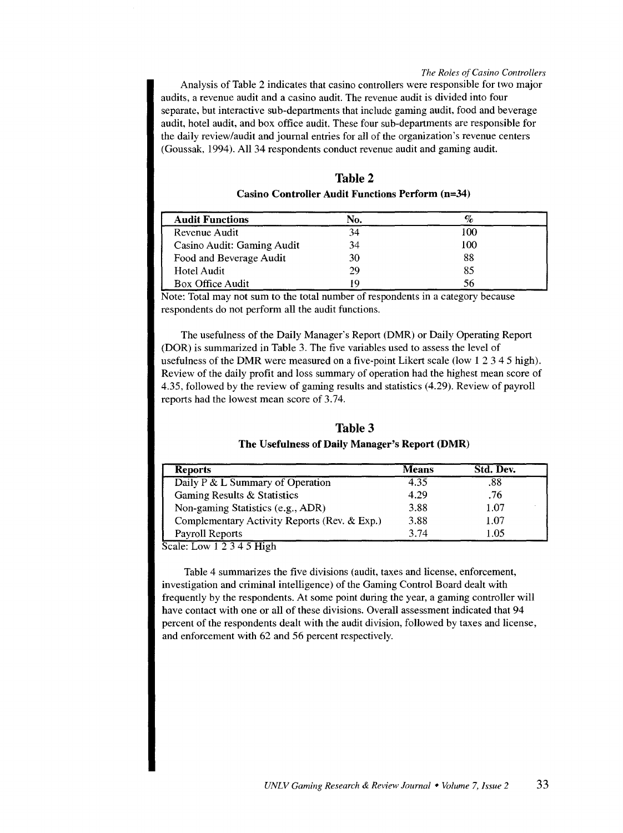Analysis of Table 2 indicates that casino controllers were responsible for two major audits, a revenue audit and a casino audit. The revenue audit is divided into four separate, but interactive sub-departments that include gaming audit, food and beverage audit, hotel audit, and box office audit. These four sub-departments are responsible for the daily review/audit and journal entries for all of the organization's revenue centers (Goussak, 1994). All 34 respondents conduct revenue audit and gaming audit.

| <b>Table 2</b> |                                                  |  |  |  |
|----------------|--------------------------------------------------|--|--|--|
|                | Casino Controller Audit Functions Perform (n=34) |  |  |  |

| <b>Audit Functions</b>     | No. |     |
|----------------------------|-----|-----|
| Revenue Audit              | 34  | 100 |
| Casino Audit: Gaming Audit | 34  | 100 |
| Food and Beverage Audit    | 30  | 88  |
| Hotel Audit                | 29  | 85  |
| Box Office Audit           |     | 56  |

Note: Total may not sum to the total number of respondents in a category because respondents do not perform all the audit functions.

The usefulness of the Daily Manager's Report (DMR) or Daily Operating Report (DOR) is summarized in Table 3. The five variables used to assess the level of usefulness of the DMR were measured on a five-point Likert scale (low 1 2 3 4 5 high). Review of the daily profit and loss summary of operation had the highest mean score of 4.35, followed by the review of gaming results and statistics (4.29). Review of payroll reports had the lowest mean score of 3.74.

| Table 3                                        |
|------------------------------------------------|
| The Usefulness of Daily Manager's Report (DMR) |

| <b>Reports</b>                               | <b>Means</b> | Std. Dev. |
|----------------------------------------------|--------------|-----------|
| Daily P & L Summary of Operation             | 4.35         | .88       |
| Gaming Results & Statistics                  | 4.29         | .76       |
| Non-gaming Statistics (e.g., ADR)            | 3.88         | 1.07      |
| Complementary Activity Reports (Rev. & Exp.) | 3.88         | 1.07      |
| Payroll Reports                              | 3.74         | 1.05      |

Scale: Low I 2 3 4 5 High

Table 4 summarizes the five divisions (audit, taxes and license, enforcement, investigation and criminal intelligence) of the Gaming Control Board dealt with frequently by the respondents. At some point during the year, a gaming controller will have contact with one or all of these divisions. Overall assessment indicated that 94 percent of the respondents dealt with the audit division, followed by taxes and license, and enforcement with 62 and 56 percent respectively.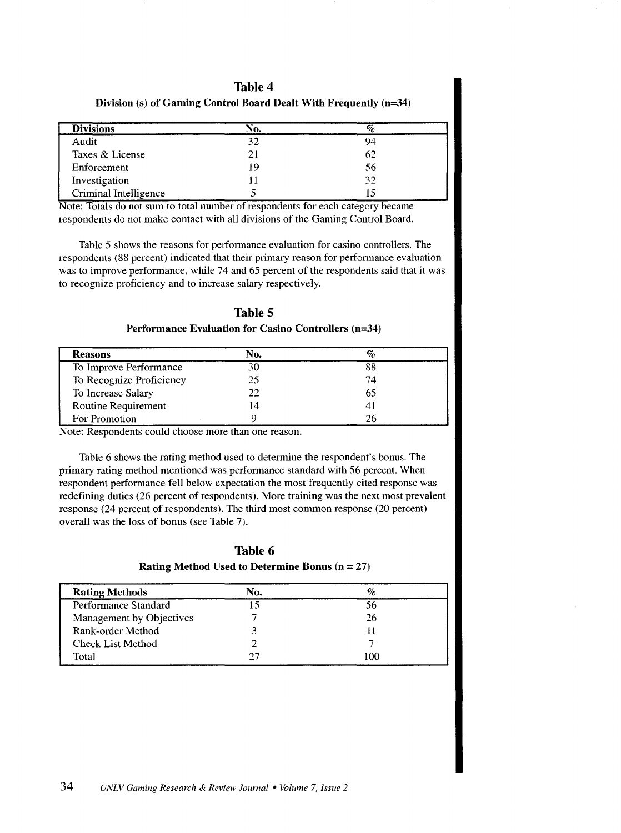# Table 4

| <b>Divisions</b>      | No. |    |
|-----------------------|-----|----|
| Audit                 | 32  | 94 |
| Taxes & License       |     | 62 |
| Enforcement           | 19  | 56 |
| Investigation         |     | 32 |
| Criminal Intelligence |     |    |

Division (s) of Gaming Control Board Dealt With Frequently (n=34)

Note: Totals do not sum to total number of respondents for each category became respondents do not make contact with all divisions of the Gaming Control Board.

Table 5 shows the reasons for performance evaluation for casino controllers. The respondents (88 percent) indicated that their primary reason for performance evaluation was to improve performance, while 74 and 65 percent of the respondents said that it was to recognize proficiency and to increase salary respectively.

# Table 5

Performance Evaluation for Casino Controllers (n=34)

| <b>Reasons</b>           | No. |    |
|--------------------------|-----|----|
| To Improve Performance   |     | 88 |
| To Recognize Proficiency | 25  | 74 |
| To Increase Salary       | 22. | 65 |
| Routine Requirement      | l 4 |    |
| For Promotion            |     |    |

Note: Respondents could choose more than one reason.

Table 6 shows the rating method used to determine the respondent's bonus. The primary rating method mentioned was performance standard with 56 percent. When respondent performance fell below expectation the most frequently cited response was redefining duties (26 percent of respondents). More training was the next most prevalent response (24 percent of respondents). The third most common response (20 percent) overall was the loss of bonus (see Table 7).

Table 6 Rating Method Used to Determine Bonus  $(n = 27)$ 

| <b>Rating Methods</b>    | No. |     |
|--------------------------|-----|-----|
| Performance Standard     |     | 56  |
| Management by Objectives |     | 26  |
| Rank-order Method        |     |     |
| <b>Check List Method</b> |     |     |
| Total                    |     | 100 |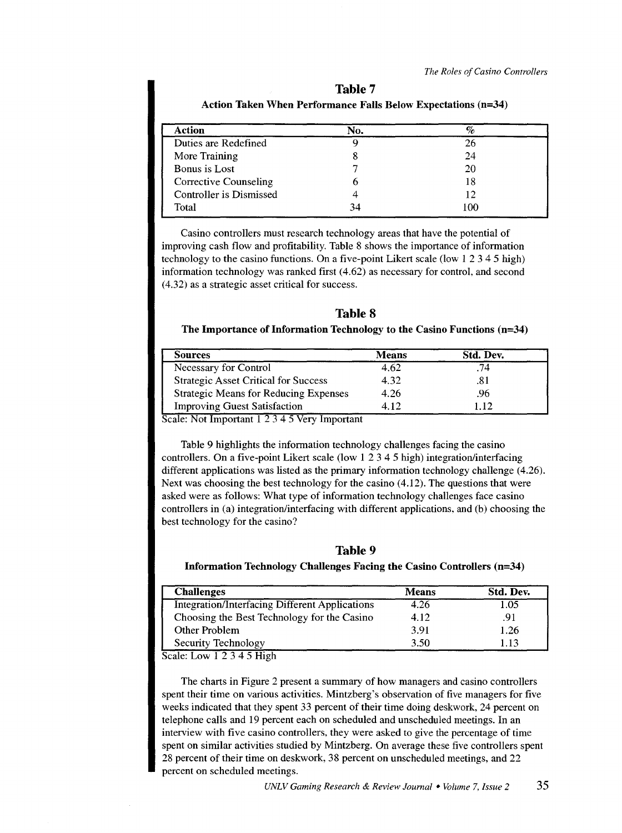| <b>Action</b>                | No. | %   |  |
|------------------------------|-----|-----|--|
| Duties are Redefined         |     | 26  |  |
| More Training                |     | 24  |  |
| Bonus is Lost                |     | 20  |  |
| <b>Corrective Counseling</b> |     | 18  |  |
| Controller is Dismissed      |     | 12  |  |
| Total                        | 34  | 100 |  |

**Table 7 Action Taken When Performance Falls Below Expectations (n=34)** 

Casino controllers must research technology areas that have the potential of improving cash flow and profitability. Table 8 shows the importance of information technology to the casino functions. On a five-point Likert scale (low 1 2 3 4 5 high) information technology was ranked first (4.62) as necessary for control, and second (4.32) as a strategic asset critical for success.

**Table 8** 

# **The Importance of Information Technology to the Casino Functions (n=34)**

| Sources                                      | <b>Means</b> | Std. Dev. |
|----------------------------------------------|--------------|-----------|
| Necessary for Control                        | 4.62         | 74        |
| <b>Strategic Asset Critical for Success</b>  | 4.32         | .81       |
| <b>Strategic Means for Reducing Expenses</b> | 4.26         | .96       |
| <b>Improving Guest Satisfaction</b>          | 4.12         | - 12      |

Scale: Not Important 1 2 3 4 5 Very Important

Table 9 highlights the information technology challenges facing the casino controllers. On a five-point Likert scale (low 1 2 3 4 5 high) integration/interfacing different applications was listed as the primary information technology challenge (4.26). Next was choosing the best technology for the casino (4.12). The questions that were asked were as follows: What type of information technology challenges face casino controllers in (a) integration/interfacing with different applications, and (b) choosing the best technology for the casino?

**Table 9** 

# **Information Technology Challenges Facing the Casino Controllers (n=34)**

| <b>Challenges</b>                                     | <b>Means</b> | Std. Dev. |
|-------------------------------------------------------|--------------|-----------|
| <b>Integration/Interfacing Different Applications</b> | 4.26         | .05       |
| Choosing the Best Technology for the Casino           | 4.12         | .91       |
| Other Problem                                         | 3.91         | 1.26      |
| Security Technology                                   | 3.50         | 1.13      |

Scale: Low 1 2 3 4 5 High

The charts in Figure 2 present a summary of how managers and casino controllers spent their time on various activities. Mintzberg's observation of five managers for five weeks indicated that they spent 33 percent of their time doing deskwork, 24 percent on telephone calls and 19 percent each on scheduled and unscheduled meetings. In an interview with five casino controllers, they were asked to give the percentage of time spent on similar activities studied by Mintzberg. On average these five controllers spent 28 percent of their time on deskwork, 38 percent on unscheduled meetings, and 22 percent on scheduled meetings.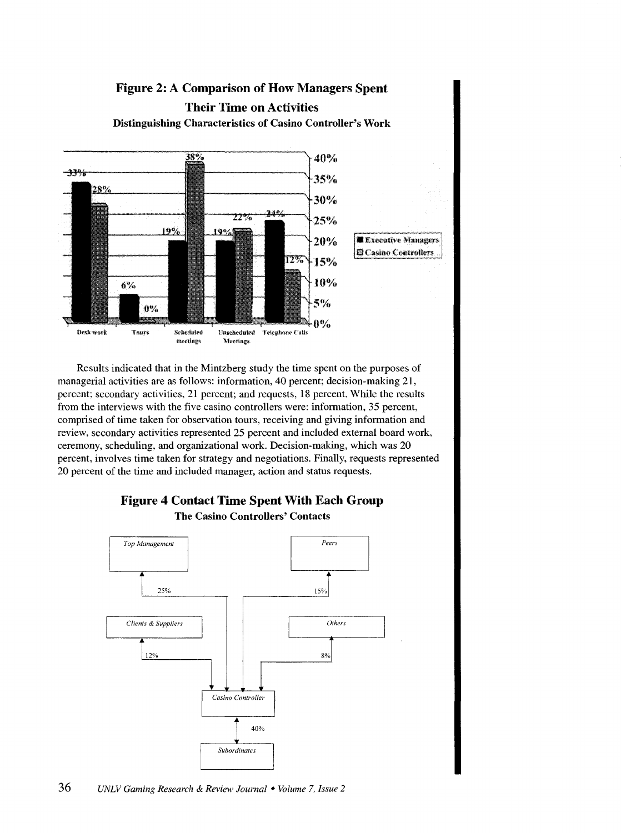

Results indicated that in the Mintzberg study the time spent on the purposes of managerial activities are as follows: information, 40 percent; decision-making 21, percent; secondary activities, 21 percent; and requests, 18 percent. While the results from the interviews with the five casino controllers were: information, 35 percent, comprised of time taken for observation tours, receiving and giving information and review, secondary activities represented 25 percent and included external board work, ceremony, scheduling, and organizational work. Decision-making, which was 20 percent, involves time taken for strategy and negotiations. Finally, requests represented 20 percent of the time and included manager, action and status requests.



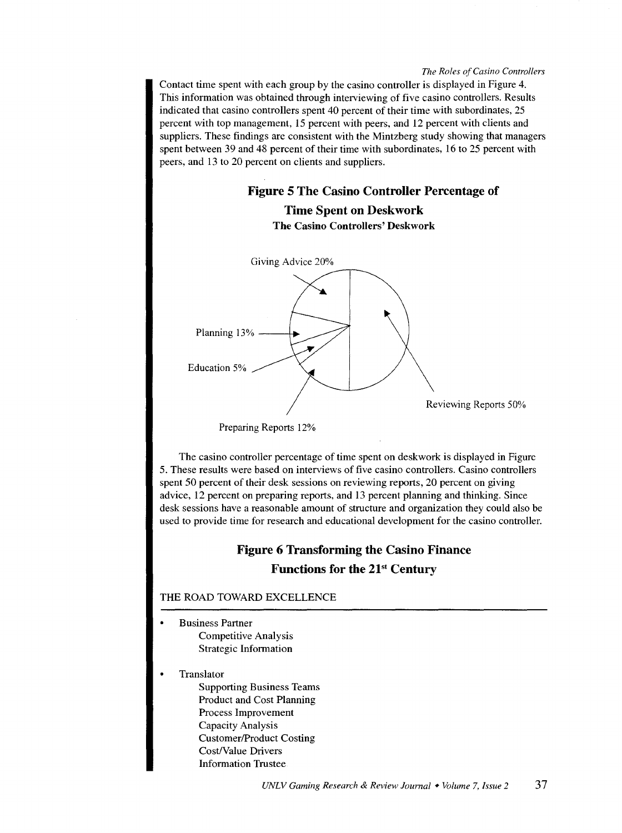Contact time spent with each group by the casino controller is displayed in Figure 4. This information was obtained through interviewing of five casino controllers. Results indicated that casino controllers spent 40 percent of their time with subordinates, 25 percent with top management, 15 percent with peers, and 12 percent with clients and suppliers. These findings are consistent with the Mintzberg study showing that managers spent between 39 and 48 percent of their time with subordinates, 16 to 25 percent with peers, and 13 to 20 percent on clients and suppliers.



Preparing Reports 12%

The casino controller percentage of time spent on deskwork is displayed in Figure 5. These results were based on interviews of five casino controllers. Casino controllers spent 50 percent of their desk sessions on reviewing reports, 20 percent on giving advice, 12 percent on preparing reports, and 13 percent planning and thinking. Since desk sessions have a reasonable amount of structure and organization they could also be used to provide time for research and educational development for the casino controller.

# **Figure 6 Transforming the Casino Finance Functions for the 21st Century**

# **THE** ROAD TOWARD EXCELLENCE

- Business Partner Competitive Analysis Strategic Information
- Translator

Supporting Business Teams Product and Cost Planning Process Improvement Capacity Analysis Customer/Product Costing Cost/Value Drivers Information Trustee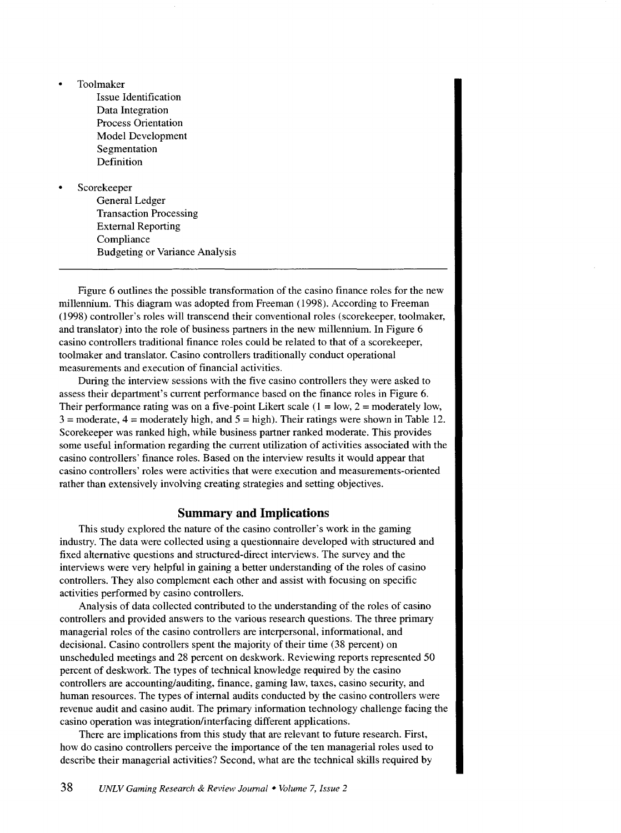- Toolmaker
	- Issue Identification Data Integration Process Orientation Model Development Segmentation Definition

#### Scorekeeper

General Ledger Transaction Processing External Reporting Compliance Budgeting or Variance Analysis

Figure 6 outlines the possible transformation of the casino finance roles for the new millennium. This diagram was adopted from Freeman (1998). According to Freeman (1998) controller's roles will transcend their conventional roles (scorekeeper, toolmaker, and translator) into the role of business partners in the new millennium. In Figure 6 casino controllers traditional finance roles could be related to that of a scorekeeper, toolmaker and translator. Casino controllers traditionally conduct operational measurements and execution of financial activities.

During the interview sessions with the five casino controllers they were asked to assess their department's current performance based on the finance roles in Figure 6. Their performance rating was on a five-point Likert scale  $(1 = low, 2 = moderately)$  low,  $3 =$  moderate,  $4 =$  moderately high, and  $5 =$  high). Their ratings were shown in Table 12. Scorekeeper was ranked high, while business partner ranked moderate. This provides some useful information regarding the current utilization of activities associated with the casino controllers' finance roles. Based on the interview results it would appear that casino controllers' roles were activities that were execution and measurements-oriented rather than extensively involving creating strategies and setting objectives.

# **Summary and Implications**

This study explored the nature of the casino controller's work in the gaming industry. The data were collected using a questionnaire developed with structured and fixed alternative questions and structured-direct interviews. The survey and the interviews were very helpful in gaining a better understanding of the roles of casino controllers. They also complement each other and assist with focusing on specific activities performed by casino controllers.

Analysis of data collected contributed to the understanding of the roles of casino controllers and provided answers to the various research questions. The three primary managerial roles of the casino controllers are interpersonal, informational, and decisional. Casino controllers spent the majority of their time (38 percent) on unscheduled meetings and 28 percent on deskwork. Reviewing reports represented 50 percent of deskwork. The types of technical knowledge required by the casino controllers are accounting/auditing, finance, gaming law, taxes, casino security, and human resources. The types of internal audits conducted by the casino controllers were revenue audit and casino audit. The primary information technology challenge facing the casino operation was integration/interfacing different applications.

There are implications from this study that are relevant to future research. First, how do casino controllers perceive the importance of the ten managerial roles used to describe their managerial activities? Second, what are the technical skills required by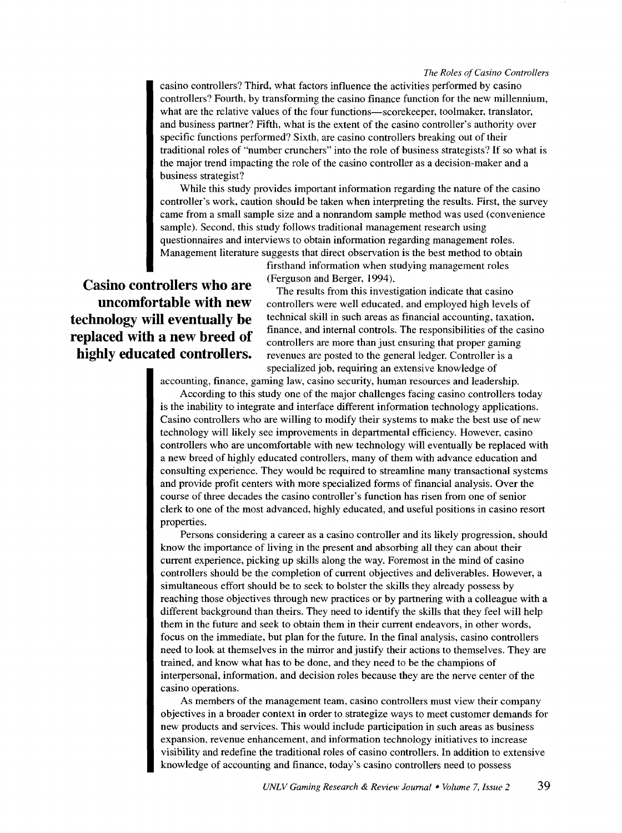casino controllers? Third, what factors influence the activities performed by casino controllers? Fourth, by transforming the casino finance function for the new millennium, what are the relative values of the four functions-scorekeeper, toolmaker, translator, and business partner? Fifth, what is the extent of the casino controller's authority over specific functions performed? Sixth, are casino controllers breaking out of their traditional roles of "number crunchers" into the role of business strategists? If so what is the major trend impacting the role of the casino controller as a decision-maker and a business strategist?

While this study provides important information regarding the nature of the casino controller's work, caution should be taken when interpreting the results. First, the survey came from a small sample size and a nonrandom sample method was used (convenience sample). Second, this study follows traditional management research using questionnaires and interviews to obtain information regarding management roles. Management literature suggests that direct observation is the best method to obtain

> firsthand information when studying management roles (Ferguson and Berger, 1994).

**Casino controllers who are uncomfortable with new technology will eventually be replaced with a new breed of highly educated controllers.** 

The results from this investigation indicate that casino controllers were well educated, and employed high levels of technical skill in such areas as financial accounting, taxation, finance, and internal controls. The responsibilities of the casino controllers are more than just ensuring that proper gaming revenues are posted to the general ledger. Controller is a specialized job, requiring an extensive knowledge of

accounting, finance, gaming law, casino security, human resources and leadership.

According to this study one of the major challenges facing casino controllers today is the inability to integrate and interface different information technology applications. Casino controllers who are willing to modify their systems to make the best use of new technology will likely see improvements in departmental efficiency. However, casino controllers who are uncomfortable with new technology will eventually be replaced with a new breed of highly educated controllers, many of them with advance education and consulting experience. They would be required to streamline many transactional systems and provide profit centers with more specialized forms of financial analysis. Over the course of three decades the casino controller's function has risen from one of senior clerk to one of the most advanced, highly educated, and useful positions in casino resort properties.

Persons considering a career as a casino controller and its likely progression, should know the importance of living in the present and absorbing all they can about their current experience, picking up skills along the way. Foremost in the mind of casino controllers should be the completion of current objectives and deliverables. However, a simultaneous effort should be to seek to bolster the skills they already possess by reaching those objectives through new practices or by partnering with a colleague with a different background than theirs. They need to identify the skills that they feel will help them in the future and seek to obtain them in their current endeavors, in other words, focus on the immediate, but plan for the future. In the final analysis, casino controllers need to look at themselves in the mirror and justify their actions to themselves. They are trained, and know what has to be done, and they need to be the champions of interpersonal, information, and decision roles because they are the nerve center of the casino operations.

As members of the management team, casino controllers must view their company objectives in a broader context in order to strategize ways to meet customer demands for new products and services. This would include participation in such areas as business expansion, revenue enhancement, and information technology initiatives to increase visibility and redefine the traditional roles of casino controllers. In addition to extensive knowledge of accounting and finance, today's casino controllers need to possess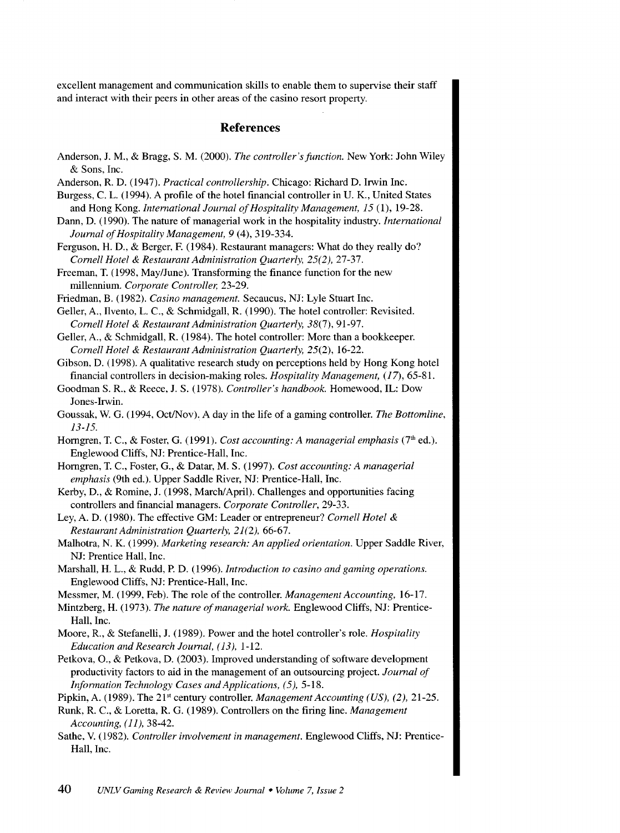excellent management and communication skills to enable them to supervise their staff and interact with their peers in other areas of the casino resort property.

#### **References**

- Anderson, J. M., & Bragg, S.M. (2000). *The controller'sfunction.* New York: John Wiley & Sons, Inc.
- Anderson, R. D. (1947). *Practical controllership.* Chicago: Richard D. Irwin Inc.
- Burgess, C. L. (1994). A profile of the hotel financial controller in U.K., United States and Hong Kong. *International Journal of Hospitality Management, 15* (1), 19-28.
- Dann, D. (1990). The nature of managerial work in the hospitality industry. *International Journal of Hospitality Management, 9* (4), 319-334.
- Ferguson, H. D., & Berger, F. (1984). Restaurant managers: What do they really do? *Cornell Hotel* & *Restaurant Administration Quarterly, 25(2),* 27-37.
- Freeman, T. ( 1998, May/June). Transforming the finance function for the new millennium. *Corporate Controller,* 23-29.
- Friedman, B. (1982). *Casino management.* Secaucus, NJ: Lyle Stuart Inc.
- Geller, A., Ilvento, L. C., & Schmidgall, R. ( 1990). The hotel controller: Revisited. *Cornell Hotel* & *Restaurant Administration Quarterly,* 38(7), 91-97.
- Geller, A., & Schmidgall, R. (1984). The hotel controller: More than a bookkeeper. *Cornell Hotel & Restaurant Administration Quarterly,* 25(2), 16-22.
- Gibson, D. (1998). A qualitative research study on perceptions held by Hong Kong hotel financial controllers in decision-making roles. *Hospitality Management,* (17), 65-81.
- Goodman S. R., & Reece, J. S. (1978). *Controller's handbook.* Homewood, IL: Dow Jones-Irwin.
- Goussak, W. G. (1994, Oct/Nov). A day in the life of a gaming controller. *The Bottomline, 13-15.*
- Horngren, T. C., & Foster, G. (1991). *Cost accounting: A managerial emphasis* (7<sup>th</sup> ed.). Englewood Cliffs, NJ: Prentice-Hall, Inc.
- Homgren, T. C., Foster, G., & Datar, M.S. (1997). *Cost accounting: A managerial emphasis* (9th ed.). Upper Saddle River, NJ: Prentice-Hall, Inc.
- Kerby, D., & Romine, J. (1998, March/April). Challenges and opportunities facing controllers and financial managers. *Corporate Controller,* 29-33.
- Ley, A. D. (1980). The effective GM: Leader or entrepreneur? *Cornell Hotel* & *Restaurant Administration Quarterly, 21(2),* 66-67.
- Malhotra, N. K. (1999). *Marketing research: An applied orientation.* Upper Saddle River, NJ: Prentice Hall, Inc.
- Marshall, H. L., & Rudd, P. D. (1996). *Introduction to casino and gaming operations.*  Englewood Cliffs, NJ: Prentice-Hall, Inc.
- Messmer, M. (1999, Feb). The role of the controller. *Management Accounting*, 16-17.
- Mintzberg, H. (1973). *The nature of managerial work.* Englewood Cliffs, NJ: Prentice-Hall, Inc.
- Moore, R., & Stefanelli, J. (1989). Power and the hotel controller's role. *Hospitality Education and Research Journal, ( 13),* 1-12.
- Petkova, 0., & Petkova, D. (2003). Improved understanding of software development productivity factors to aid in the management of an outsourcing project. *Journal of Information Technology Cases and Applications, (5), 5-18.*
- Pipkin, A. (1989). The 21" century controller. *Management Accounting (US), (2),* 21-25.
- Runk, R. C., & Loretta, R. G. (1989). Controllers on the firing line. *Management Accounting, ( 11 ),* 38-42.
- Sathe, V. (1982). *Controller involvement in management.* Englewood Cliffs, NJ: Prentice-Hall, Inc.